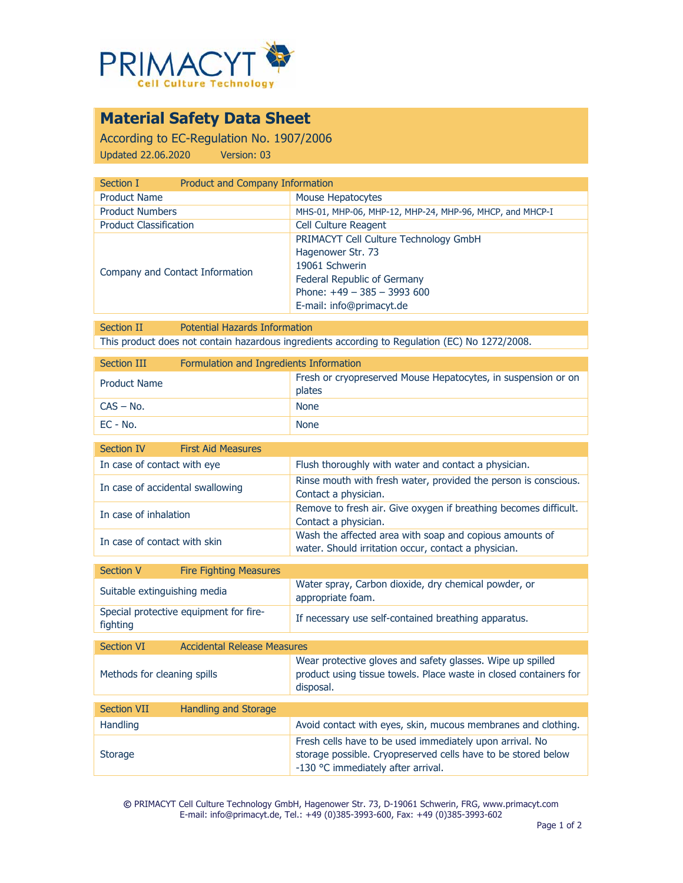

## **Material Safety Data Sheet**

According to EC-Regulation No. 1907/2006 Updated 22.06.2020 Version: 03

| Product and Company Information                          |  |  |
|----------------------------------------------------------|--|--|
| Mouse Hepatocytes                                        |  |  |
| MHS-01, MHP-06, MHP-12, MHP-24, MHP-96, MHCP, and MHCP-I |  |  |
| <b>Cell Culture Reagent</b>                              |  |  |
| PRIMACYT Cell Culture Technology GmbH                    |  |  |
| Hagenower Str. 73                                        |  |  |
| 19061 Schwerin                                           |  |  |
| Federal Republic of Germany                              |  |  |
| Phone: $+49 - 385 - 3993600$                             |  |  |
| E-mail: info@primacyt.de                                 |  |  |
|                                                          |  |  |

Section II Potential Hazards Information This product does not contain hazardous ingredients according to Regulation (EC) No 1272/2008.

| Section III         | Formulation and Ingredients Information |                                                                         |
|---------------------|-----------------------------------------|-------------------------------------------------------------------------|
| <b>Product Name</b> |                                         | Fresh or cryopreserved Mouse Hepatocytes, in suspension or on<br>plates |
| $CAS - No.$         |                                         | <b>None</b>                                                             |
| EC - No.            |                                         | <b>None</b>                                                             |

| Section IV<br><b>First Aid Measures</b>                 |                                                                                                                                                                 |
|---------------------------------------------------------|-----------------------------------------------------------------------------------------------------------------------------------------------------------------|
| In case of contact with eye                             | Flush thoroughly with water and contact a physician.                                                                                                            |
| In case of accidental swallowing                        | Rinse mouth with fresh water, provided the person is conscious.<br>Contact a physician.                                                                         |
| In case of inhalation                                   | Remove to fresh air. Give oxygen if breathing becomes difficult.<br>Contact a physician.                                                                        |
| In case of contact with skin                            | Wash the affected area with soap and copious amounts of<br>water. Should irritation occur, contact a physician.                                                 |
| <b>Section V</b><br><b>Fire Fighting Measures</b>       |                                                                                                                                                                 |
| Suitable extinguishing media                            | Water spray, Carbon dioxide, dry chemical powder, or<br>appropriate foam.                                                                                       |
| Special protective equipment for fire-<br>fighting      | If necessary use self-contained breathing apparatus.                                                                                                            |
| <b>Accidental Release Measures</b><br><b>Section VI</b> |                                                                                                                                                                 |
| Methods for cleaning spills                             | Wear protective gloves and safety glasses. Wipe up spilled<br>product using tissue towels. Place waste in closed containers for<br>disposal.                    |
| <b>Section VII</b><br><b>Handling and Storage</b>       |                                                                                                                                                                 |
| Handling                                                | Avoid contact with eyes, skin, mucous membranes and clothing.                                                                                                   |
| <b>Storage</b>                                          | Fresh cells have to be used immediately upon arrival. No<br>storage possible. Cryopreserved cells have to be stored below<br>-130 °C immediately after arrival. |

**©** PRIMACYT Cell Culture Technology GmbH, Hagenower Str. 73, D-19061 Schwerin, FRG, www.primacyt.com E-mail: info@primacyt.de, Tel.: +49 (0)385-3993-600, Fax: +49 (0)385-3993-602